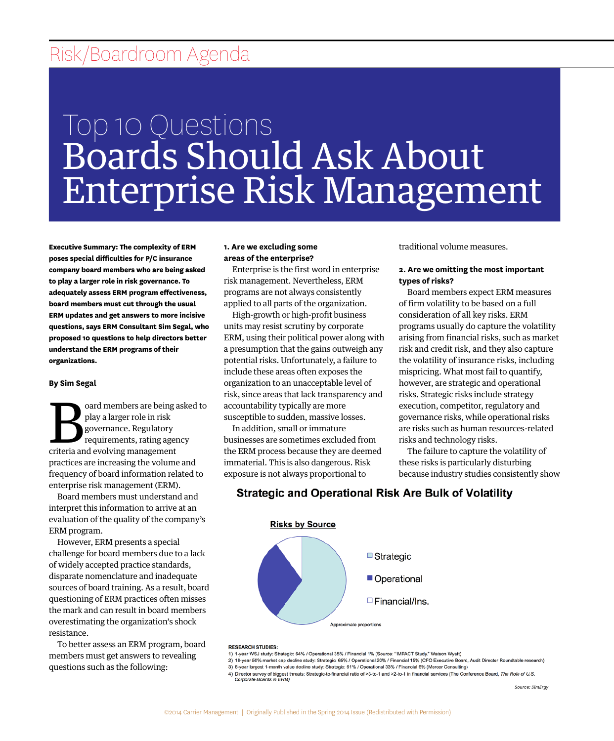## Risk/Boardroom Agenda

# Top 10 Questions Boards Should Ask About Enterprise Risk Management

**Executive Summary: The complexity of ERM poses special difficulties for P/C insurance company board members who are being asked to play a larger role in risk governance. To adequately assess ERM program effectiveness, board members must cut through the usual ERM updates and get answers to more incisive questions, says ERM Consultant Sim Segal, who proposed 10 questions to help directors better understand the ERM programs of their organizations.**

#### **By Sim Segal**

oard members are being asked to play a larger role in risk governance. Regulatory requirements, rating agency criteria and evolving management practices are increasing the volume and frequency of board information related to enterprise risk management (ERM).

Board members must understand and interpret this information to arrive at an evaluation of the quality of the company's ERM program.

However, ERM presents a special challenge for board members due to a lack of widely accepted practice standards, disparate nomenclature and inadequate sources of board training. As a result, board questioning of ERM practices often misses the mark and can result in board members overestimating the organization's shock resistance.

To better assess an ERM program, board members must get answers to revealing questions such as the following:

#### **1. Are we excluding some areas of the enterprise?**

Enterprise is the first word in enterprise risk management. Nevertheless, ERM programs are not always consistently applied to all parts of the organization.

High-growth or high-profit business units may resist scrutiny by corporate ERM, using their political power along with a presumption that the gains outweigh any potential risks. Unfortunately, a failure to include these areas often exposes the organization to an unacceptable level of risk, since areas that lack transparency and accountability typically are more susceptible to sudden, massive losses.

In addition, small or immature businesses are sometimes excluded from the ERM process because they are deemed immaterial. This is also dangerous. Risk exposure is not always proportional to

traditional volume measures.

#### **2. Are we omitting the most important types of risks?**

Board members expect ERM measures of firm volatility to be based on a full consideration of all key risks. ERM programs usually do capture the volatility arising from financial risks, such as market risk and credit risk, and they also capture the volatility of insurance risks, including mispricing. What most fail to quantify, however, are strategic and operational risks. Strategic risks include strategy execution, competitor, regulatory and governance risks, while operational risks are risks such as human resources-related risks and technology risks.

The failure to capture the volatility of these risks is particularly disturbing because industry studies consistently show

## **Strategic and Operational Risk Are Bulk of Volatility**



#### **RESEARCH STUDIES:**

- 1) 1-year WSJ study: Strategic: 64% / Operational 35% / Financial 1% (Source: "IMPACT Study," Watson Wyatt)<br>2) 18-year 50% market cap decline study: Strategic: 65% / Operational 20% / Financial 15% (CFO Executive Board, Au 3) 6-year largest 1-month value decline study: Strategic: 61% / Operational 33% / Financial 6% (Mercer Consulting)
- o your largest in-momm value decline study: Strategic: 61% / Operational 33% / Financial 6% (Mercer Consulting)<br>4) Director survey of biggest threats: Strategic-to-financial ratio of >3-to-1 and >2-to-1 in financial servic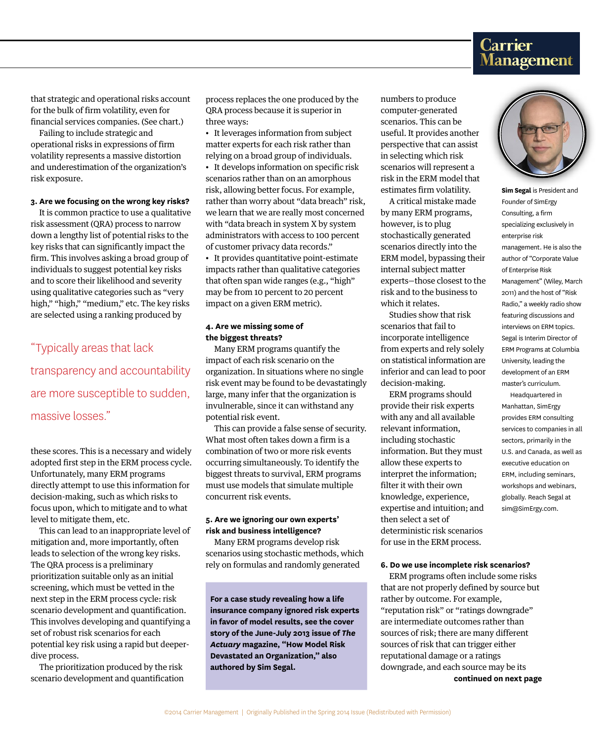# **Carrier<br>Management**

that strategic and operational risks account for the bulk of firm volatility, even for financial services companies. (See chart.)

Failing to include strategic and operational risks in expressions of firm volatility represents a massive distortion and underestimation of the organization's risk exposure.

#### **3. Are we focusing on the wrong key risks?**

It is common practice to use a qualitative risk assessment (QRA) process to narrow down a lengthy list of potential risks to the key risks that can significantly impact the firm. This involves asking a broad group of individuals to suggest potential key risks and to score their likelihood and severity using qualitative categories such as "very high," "high," "medium," etc. The key risks are selected using a ranking produced by

## "Typically areas that lack transparency and accountability are more susceptible to sudden, massive losses."

these scores. This is a necessary and widely adopted first step in the ERM process cycle. Unfortunately, many ERM programs directly attempt to use this information for decision-making, such as which risks to focus upon, which to mitigate and to what level to mitigate them, etc.

This can lead to an inappropriate level of mitigation and, more importantly, often leads to selection of the wrong key risks. The QRA process is a preliminary prioritization suitable only as an initial screening, which must be vetted in the next step in the ERM process cycle: risk scenario development and quantification. This involves developing and quantifying a set of robust risk scenarios for each potential key risk using a rapid but deeperdive process.

The prioritization produced by the risk scenario development and quantification process replaces the one produced by the QRA process because it is superior in three ways:

• It leverages information from subject matter experts for each risk rather than relying on a broad group of individuals.

• It develops information on specific risk scenarios rather than on an amorphous risk, allowing better focus. For example, rather than worry about "data breach" risk, we learn that we are really most concerned with "data breach in system X by system administrators with access to 100 percent of customer privacy data records."

• It provides quantitative point-estimate impacts rather than qualitative categories that often span wide ranges (e.g., "high" may be from 10 percent to 20 percent impact on a given ERM metric).

#### **4. Are we missing some of the biggest threats?**

Many ERM programs quantify the impact of each risk scenario on the organization. In situations where no single risk event may be found to be devastatingly large, many infer that the organization is invulnerable, since it can withstand any potential risk event.

This can provide a false sense of security. What most often takes down a firm is a combination of two or more risk events occurring simultaneously. To identify the biggest threats to survival, ERM programs must use models that simulate multiple concurrent risk events.

#### **5. Are we ignoring our own experts' risk and business intelligence?**

Many ERM programs develop risk scenarios using stochastic methods, which rely on formulas and randomly generated

**For a case study revealing how a life insurance company ignored risk experts in favor of model results, see the cover story of the June-July 2013 issue of** *The Actuary* **magazine, "How Model Risk Devastated an Organization," also authored by Sim Segal.**

numbers to produce computer-generated scenarios. This can be useful. It provides another perspective that can assist in selecting which risk scenarios will represent a risk in the ERM model that estimates firm volatility.

A critical mistake made by many ERM programs, however, is to plug stochastically generated scenarios directly into the ERM model, bypassing their internal subject matter experts—those closest to the risk and to the business to which it relates.

Studies show that risk scenarios that fail to incorporate intelligence from experts and rely solely on statistical information are inferior and can lead to poor decision-making.

ERM programs should provide their risk experts with any and all available relevant information, including stochastic information. But they must allow these experts to interpret the information; filter it with their own knowledge, experience, expertise and intuition; and then select a set of deterministic risk scenarios for use in the ERM process.

#### **6. Do we use incomplete risk scenarios?**

ERM programs often include some risks that are not properly defined by source but rather by outcome. For example, "reputation risk" or "ratings downgrade" are intermediate outcomes rather than sources of risk; there are many different sources of risk that can trigger either reputational damage or a ratings downgrade, and each source may be its **continued on next page**



**Sim Segal** is President and Founder of SimErgy Consulting, a firm specializing exclusively in enterprise risk management. He is also the author of "Corporate Value of Enterprise Risk Management" (Wiley, March 2011) and the host of "Risk Radio," a weekly radio show featuring discussions and interviews on ERM topics. Segal is Interim Director of ERM Programs at Columbia University, leading the development of an ERM master's curriculum.

Headquartered in Manhattan, SimErgy provides ERM consulting services to companies in all sectors, primarily in the U.S. and Canada, as well as executive education on ERM, including seminars, workshops and webinars, globally. Reach Segal at sim@SimErgy.com.